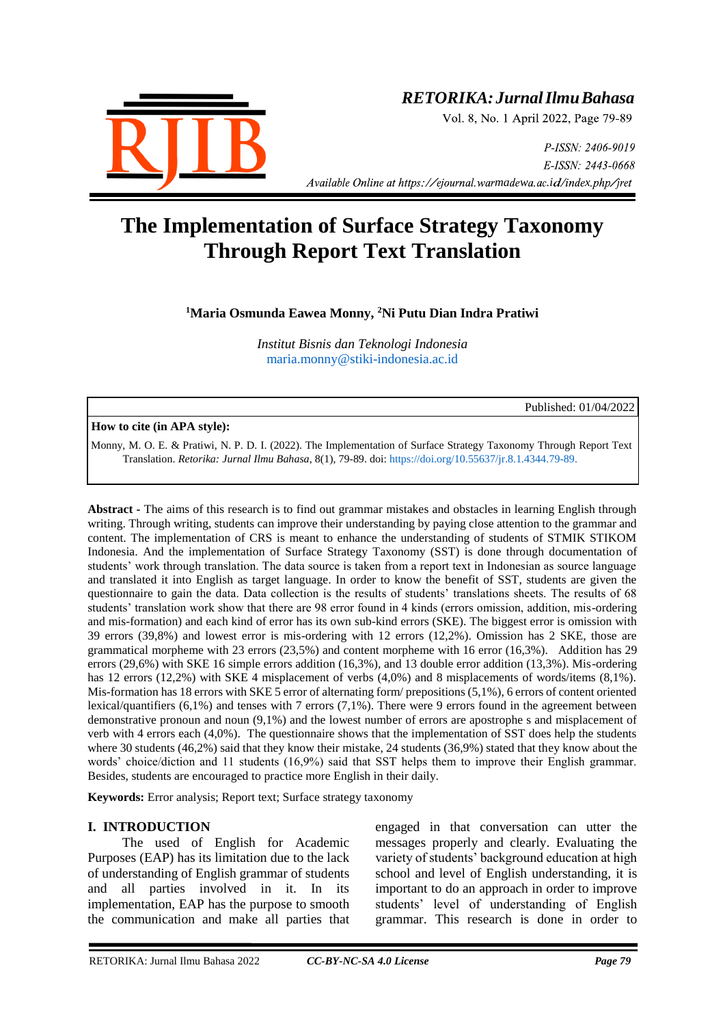

# *RETORIKA:JurnalIlmuBahasa*

Vol. 8, No. 1 April 2022, Page 79-89

P-ISSN: 2406-9019 E-ISSN: 2443-0668 *Available Online at https://ejournal.warmadewa.ac.id/index.php/jret* 

# **The Implementation of Surface Strategy Taxonomy Through Report Text Translation**

**<sup>1</sup>Maria Osmunda Eawea Monny, <sup>2</sup>Ni Putu Dian Indra Pratiwi**

*Institut Bisnis dan Teknologi Indonesia* [maria.monny@stiki-indonesia.ac.id](mailto:maria.monny@stiki-indonesia.ac.id)

Published: 01/04/2022

#### **How to cite (in APA style):**

Monny, M. O. E. & Pratiwi, N. P. D. I. (2022). The Implementation of Surface Strategy Taxonomy Through Report Text Translation. *Retorika: Jurnal Ilmu Bahasa*, 8(1), 79-89. doi:<https://doi.org/10.55637/jr.8.1.4344.79-89.>

**Abstract -** The aims of this research is to find out grammar mistakes and obstacles in learning English through writing. Through writing, students can improve their understanding by paying close attention to the grammar and content. The implementation of CRS is meant to enhance the understanding of students of STMIK STIKOM Indonesia. And the implementation of Surface Strategy Taxonomy (SST) is done through documentation of students' work through translation. The data source is taken from a report text in Indonesian as source language and translated it into English as target language. In order to know the benefit of SST, students are given the questionnaire to gain the data. Data collection is the results of students' translations sheets. The results of 68 students' translation work show that there are 98 error found in 4 kinds (errors omission, addition, mis-ordering and mis-formation) and each kind of error has its own sub-kind errors (SKE). The biggest error is omission with 39 errors (39,8%) and lowest error is mis-ordering with 12 errors (12,2%). Omission has 2 SKE, those are grammatical morpheme with 23 errors (23,5%) and content morpheme with 16 error (16,3%). Addition has 29 errors (29,6%) with SKE 16 simple errors addition (16,3%), and 13 double error addition (13,3%). Mis-ordering has 12 errors (12,2%) with SKE 4 misplacement of verbs (4,0%) and 8 misplacements of words/items (8,1%). Mis-formation has 18 errors with SKE 5 error of alternating form/ prepositions (5,1%), 6 errors of content oriented lexical/quantifiers (6,1%) and tenses with 7 errors (7,1%). There were 9 errors found in the agreement between demonstrative pronoun and noun (9,1%) and the lowest number of errors are apostrophe s and misplacement of verb with 4 errors each (4,0%). The questionnaire shows that the implementation of SST does help the students where 30 students (46,2%) said that they know their mistake, 24 students (36,9%) stated that they know about the words' choice/diction and 11 students (16,9%) said that SST helps them to improve their English grammar. Besides, students are encouraged to practice more English in their daily.

**Keywords:** Error analysis; Report text; Surface strategy taxonomy

# **I. INTRODUCTION**

The used of English for Academic Purposes (EAP) has its limitation due to the lack of understanding of English grammar of students and all parties involved in it. In its implementation, EAP has the purpose to smooth the communication and make all parties that engaged in that conversation can utter the messages properly and clearly. Evaluating the variety of students' background education at high school and level of English understanding, it is important to do an approach in order to improve students' level of understanding of English grammar. This research is done in order to

RETORIKA: Jurnal Ilmu Bahasa 2022 *CC-BY-NC-SA 4.0 License Page 79*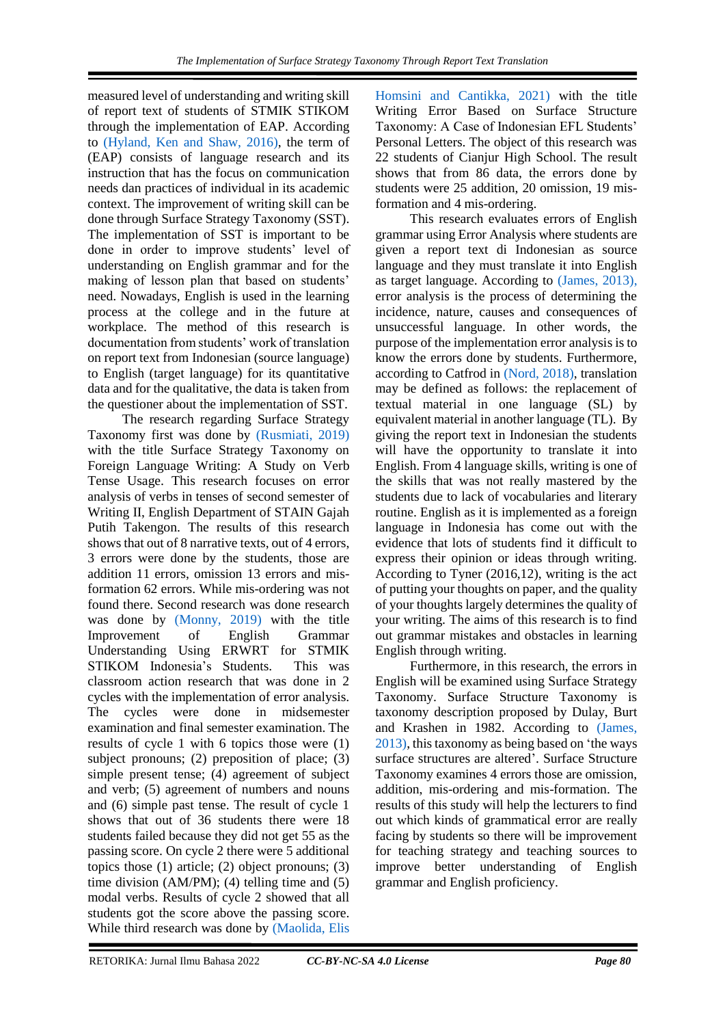measured level of understanding and writing skill of report text of students of STMIK STIKOM through the implementation of EAP. According to [\(Hyland, Ken and Shaw, 2016\),](#page-10-0) the term of (EAP) consists of language research and its instruction that has the focus on communication needs dan practices of individual in its academic context. The improvement of writing skill can be done through Surface Strategy Taxonomy (SST). The implementation of SST is important to be done in order to improve students' level of understanding on English grammar and for the making of lesson plan that based on students' need. Nowadays, English is used in the learning process at the college and in the future at workplace. The method of this research is documentation from students' work of translation on report text from Indonesian (source language) to English (target language) for its quantitative data and for the qualitative, the data is taken from the questioner about the implementation of SST.

The research regarding Surface Strategy Taxonomy first was done by [\(Rusmiati, 2019\)](#page-10-0) with the title Surface Strategy Taxonomy on Foreign Language Writing: A Study on Verb Tense Usage. This research focuses on error analysis of verbs in tenses of second semester of Writing II, English Department of STAIN Gajah Putih Takengon. The results of this research shows that out of 8 narrative texts, out of 4 errors, 3 errors were done by the students, those are addition 11 errors, omission 13 errors and misformation 62 errors. While mis-ordering was not found there. Second research was done research was done by [\(Monny, 2019\)](#page-10-1) with the title Improvement of English Grammar Understanding Using ERWRT for STMIK STIKOM Indonesia's Students. This was classroom action research that was done in 2 cycles with the implementation of error analysis. The cycles were done in midsemester examination and final semester examination. The results of cycle 1 with 6 topics those were (1) subject pronouns; (2) preposition of place; (3) simple present tense; (4) agreement of subject and verb; (5) agreement of numbers and nouns and (6) simple past tense. The result of cycle 1 shows that out of 36 students there were 18 students failed because they did not get 55 as the passing score. On cycle 2 there were 5 additional topics those (1) article; (2) object pronouns; (3) time division (AM/PM); (4) telling time and (5) modal verbs. Results of cycle 2 showed that all students got the score above the passing score. While third research was done by [\(Maolida, Elis](#page-10-0) 

Homsini and Cantikka, 2021) with the title Writing Error Based on Surface Structure Taxonomy: A Case of Indonesian EFL Students' Personal Letters. The object of this research was 22 students of Cianjur High School. The result shows that from 86 data, the errors done by students were 25 addition, 20 omission, 19 misformation and 4 mis-ordering.

This research evaluates errors of English grammar using Error Analysis where students are given a report text di Indonesian as source language and they must translate it into English as target language. According to [\(James, 2013\),](#page-10-0) error analysis is the process of determining the incidence, nature, causes and consequences of unsuccessful language. In other words, the purpose of the implementation error analysis is to know the errors done by students. Furthermore, according to Catfrod in [\(Nord, 2018\),](#page-10-0) translation may be defined as follows: the replacement of textual material in one language (SL) by equivalent material in another language (TL). By giving the report text in Indonesian the students will have the opportunity to translate it into English. From 4 language skills, writing is one of the skills that was not really mastered by the students due to lack of vocabularies and literary routine. English as it is implemented as a foreign language in Indonesia has come out with the evidence that lots of students find it difficult to express their opinion or ideas through writing. According to Tyner (2016,12), writing is the act of putting your thoughts on paper, and the quality of your thoughts largely determines the quality of your writing. The aims of this research is to find out grammar mistakes and obstacles in learning English through writing.

Furthermore, in this research, the errors in English will be examined using Surface Strategy Taxonomy. Surface Structure Taxonomy is taxonomy description proposed by Dulay, Burt and Krashen in 1982. According to [\(James,](#page-10-0)  2013), this taxonomy as being based on 'the ways surface structures are altered'. Surface Structure Taxonomy examines 4 errors those are omission, addition, mis-ordering and mis-formation. The results of this study will help the lecturers to find out which kinds of grammatical error are really facing by students so there will be improvement for teaching strategy and teaching sources to improve better understanding of English grammar and English proficiency.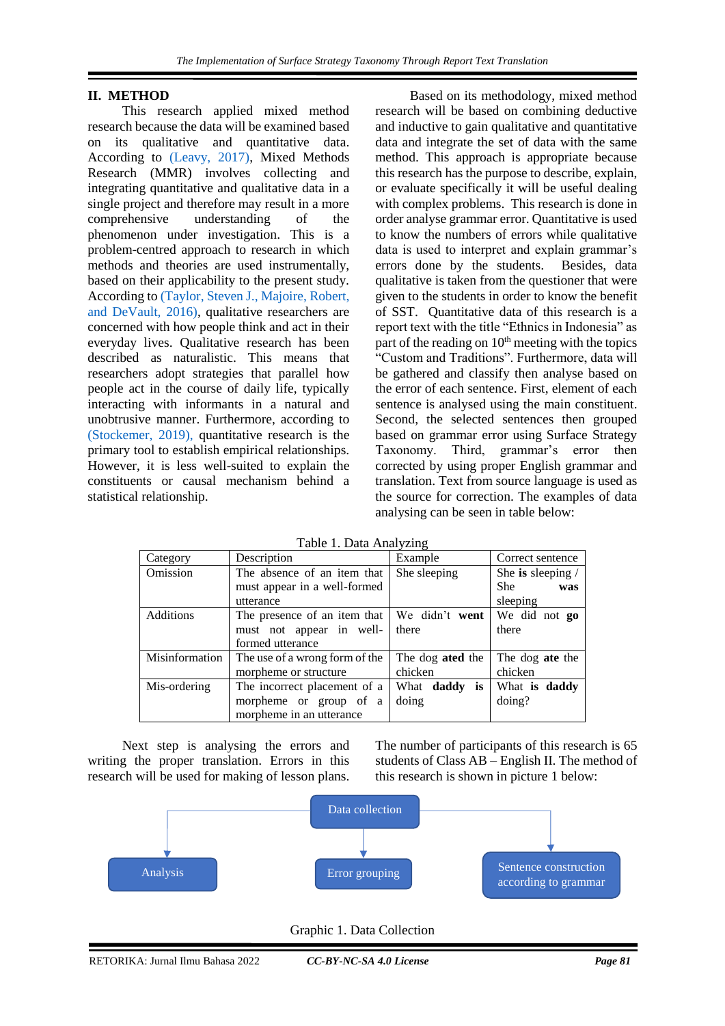# **1 II. METHOD**

This research applied mixed method research because the data will be examined based on its qualitative and quantitative data. According to [\(Leavy, 2017\),](#page-10-0) Mixed Methods Research (MMR) involves collecting and integrating quantitative and qualitative data in a single project and therefore may result in a more comprehensive understanding of the phenomenon under investigation. This is a problem-centred approach to research in which methods and theories are used instrumentally, based on their applicability to the present study. According to [\(Taylor, Steven J., Majoire, Robert,](#page-10-0)  and DeVault, 2016), qualitative researchers are concerned with how people think and act in their everyday lives. Qualitative research has been described as naturalistic. This means that researchers adopt strategies that parallel how people act in the course of daily life, typically interacting with informants in a natural and unobtrusive manner. Furthermore, according to [\(Stockemer, 2019\),](#page-10-0) quantitative research is the primary tool to establish empirical relationships. However, it is less well-suited to explain the constituents or causal mechanism behind a statistical relationship.

Based on its methodology, mixed method research will be based on combining deductive and inductive to gain qualitative and quantitative data and integrate the set of data with the same method. This approach is appropriate because this research has the purpose to describe, explain, or evaluate specifically it will be useful dealing with complex problems. This research is done in order analyse grammar error. Quantitative is used to know the numbers of errors while qualitative data is used to interpret and explain grammar's errors done by the students. Besides, data qualitative is taken from the questioner that were given to the students in order to know the benefit of SST. Quantitative data of this research is a report text with the title "Ethnics in Indonesia" as part of the reading on  $10<sup>th</sup>$  meeting with the topics "Custom and Traditions". Furthermore, data will be gathered and classify then analyse based on the error of each sentence. First, element of each sentence is analysed using the main constituent. Second, the selected sentences then grouped based on grammar error using Surface Strategy Taxonomy. Third, grammar's error then corrected by using proper English grammar and translation. Text from source language is used as the source for correction. The examples of data analysing can be seen in table below:

| 1 acre 1:10 and 1 mail ; 2011- |                                |                                |                   |  |  |
|--------------------------------|--------------------------------|--------------------------------|-------------------|--|--|
| Category                       | Description                    | Example                        | Correct sentence  |  |  |
| Omission                       | The absence of an item that    | She sleeping                   | She is sleeping / |  |  |
|                                | must appear in a well-formed   |                                | <b>She</b><br>was |  |  |
|                                | utterance                      |                                | sleeping          |  |  |
| <b>Additions</b>               | The presence of an item that   | We didn't went                 | We did not go     |  |  |
|                                | must not appear in well-       | there                          | there             |  |  |
|                                | formed utterance               |                                |                   |  |  |
| Misinformation                 | The use of a wrong form of the | The dog ated the               | The dog ate the   |  |  |
|                                | morpheme or structure          | chicken                        | chicken           |  |  |
| Mis-ordering                   | The incorrect placement of a   | What <b>daddy</b><br><b>is</b> | What is daddy     |  |  |
|                                | morpheme or group of a         | doing                          | doing?            |  |  |
|                                | morpheme in an utterance       |                                |                   |  |  |

Table 1. Data Analyzing

Next step is analysing the errors and writing the proper translation. Errors in this research will be used for making of lesson plans. The number of participants of this research is 65 students of Class AB – English II. The method of this research is shown in picture 1 below:



Graphic 1. Data Collection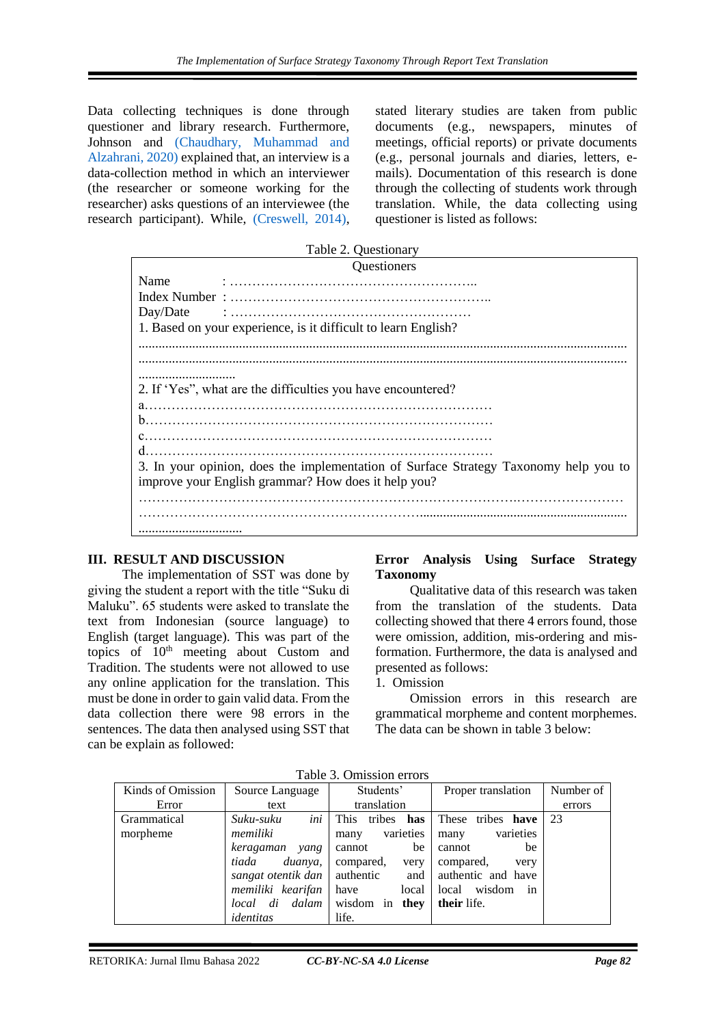Data collecting techniques is done through questioner and library research. Furthermore, Johnson and [\(Chaudhary, Muhammad and](#page-10-0)  Alzahrani, 2020) explained that, an interview is a data-collection method in which an interviewer (the researcher or someone working for the researcher) asks questions of an interviewee (the research participant). While, [\(Creswell, 2014\),](#page-10-0) stated literary studies are taken from public documents (e.g., newspapers, minutes of meetings, official reports) or private documents (e.g., personal journals and diaries, letters, emails). Documentation of this research is done through the collecting of students work through translation. While, the data collecting using questioner is listed as follows:

|          | Table 2. Questionary                                                                 |
|----------|--------------------------------------------------------------------------------------|
|          | Questioners                                                                          |
| Name     |                                                                                      |
|          |                                                                                      |
| Day/Date |                                                                                      |
|          | 1. Based on your experience, is it difficult to learn English?                       |
|          |                                                                                      |
|          |                                                                                      |
| .        |                                                                                      |
|          | 2. If 'Yes", what are the difficulties you have encountered?                         |
|          |                                                                                      |
|          |                                                                                      |
|          |                                                                                      |
|          |                                                                                      |
|          | 3. In your opinion, does the implementation of Surface Strategy Taxonomy help you to |
|          | improve your English grammar? How does it help you?                                  |
|          |                                                                                      |
|          |                                                                                      |
|          |                                                                                      |

# **III. RESULT AND DISCUSSION**

The implementation of SST was done by giving the student a report with the title "Suku di Maluku". 65 students were asked to translate the text from Indonesian (source language) to English (target language). This was part of the topics of  $10<sup>th</sup>$  meeting about Custom and Tradition. The students were not allowed to use any online application for the translation. This must be done in order to gain valid data. From the data collection there were 98 errors in the sentences. The data then analysed using SST that can be explain as followed:

# **Error Analysis Using Surface Strategy Taxonomy**

Qualitative data of this research was taken from the translation of the students. Data collecting showed that there 4 errors found, those were omission, addition, mis-ordering and misformation. Furthermore, the data is analysed and presented as follows:

1. Omission

Omission errors in this research are grammatical morpheme and content morphemes. The data can be shown in table 3 below:

| Kinds of Omission | Source Language    | Students'          | Proper translation     | Number of |
|-------------------|--------------------|--------------------|------------------------|-----------|
| Error             | text               | translation        |                        | errors    |
| Grammatical       | ini<br>Suku-suku   | This<br>tribes has | These tribes<br>have   | 23        |
| morpheme          | memiliki           | varieties<br>many  | varieties<br>many      |           |
|                   | keragaman<br>yang  | be<br>cannot       | be<br>cannot           |           |
|                   | tiada<br>duanya,   | compared,<br>very  | compared,<br>very      |           |
|                   | sangat otentik dan | authentic          | and authentic and have |           |
|                   | memiliki kearifan  | local<br>have      | wisdom<br>local<br>in  |           |
|                   | local di dalam     | wisdom in they     | their life.            |           |
|                   | identitas          | life.              |                        |           |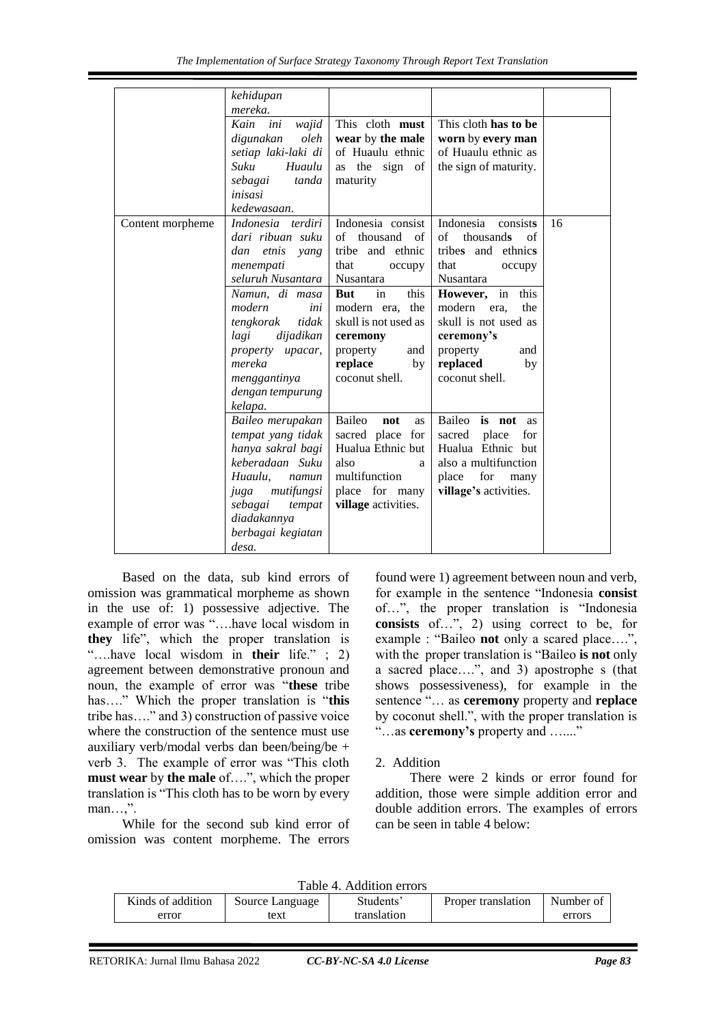|                  | kehidupan<br>mereka.                                                                                                                                                                                                                                                   |                                                                                                                                                                                                                                       |                                                                                                                                                                                                                                               |    |
|------------------|------------------------------------------------------------------------------------------------------------------------------------------------------------------------------------------------------------------------------------------------------------------------|---------------------------------------------------------------------------------------------------------------------------------------------------------------------------------------------------------------------------------------|-----------------------------------------------------------------------------------------------------------------------------------------------------------------------------------------------------------------------------------------------|----|
|                  | Kain<br>ini<br>wajid<br>oleh<br>digunakan<br>setiap laki-laki di<br>Suku<br>Huaulu<br>sebagai<br>tanda<br>inisasi                                                                                                                                                      | This cloth must<br>wear by the male<br>of Huaulu ethnic<br>as the sign of<br>maturity                                                                                                                                                 | This cloth has to be<br>worn by every man<br>of Huaulu ethnic as<br>the sign of maturity.                                                                                                                                                     |    |
| Content morpheme | kedewasaan.<br>Indonesia terdiri<br>dari ribuan suku<br>dan<br>etnis yang<br>menempati<br>seluruh Nusantara<br>Namun, di masa<br>modern<br>ini<br>tengkorak<br>tidak<br>lagi<br>dijadikan<br>property upacar,<br>mereka<br>menggantinya<br>dengan tempurung<br>kelapa. | Indonesia consist<br>of<br>thousand<br>of<br>tribe and ethnic<br>that<br>occupy<br>Nusantara<br><b>But</b><br>in<br>this<br>modern era, the<br>skull is not used as<br>ceremony<br>property<br>and<br>replace<br>by<br>coconut shell. | Indonesia<br>consists<br>of<br>thousands<br>of<br>tribes and ethnics<br>that<br>occupy<br>Nusantara<br>However, in this<br>modern<br>the<br>era.<br>skull is not used as<br>ceremony's<br>property<br>and<br>replaced<br>by<br>coconut shell. | 16 |
|                  | Baileo merupakan<br>tempat yang tidak<br>hanya sakral bagi<br>keberadaan Suku<br>Huaulu.<br>namun<br>mutifungsi<br>juga<br>sebagai<br>tempat<br>diadakannya<br>berbagai kegiatan<br>desa.                                                                              | Baileo<br>not<br>as<br>sacred place for<br>Hualua Ethnic but<br>also<br>a<br>multifunction<br>place for many<br>village activities.                                                                                                   | Baileo is not as<br>sacred place<br>for<br>Hualua Ethnic but<br>also a multifunction<br>place<br>for<br>many<br>village's activities.                                                                                                         |    |

Based on the data, sub kind errors of omission was grammatical morpheme as shown in the use of: 1) possessive adjective. The example of error was "….have local wisdom in **they** life", which the proper translation is "….have local wisdom in **their** life." ; 2) agreement between demonstrative pronoun and noun, the example of error was "**these** tribe has…." Which the proper translation is "**this** tribe has…." and 3) construction of passive voice where the construction of the sentence must use auxiliary verb/modal verbs dan been/being/be + verb 3. The example of error was "This cloth **must wear** by **the male** of….", which the proper translation is "This cloth has to be worn by every man…,".

While for the second sub kind error of omission was content morpheme. The errors found were 1) agreement between noun and verb, for example in the sentence "Indonesia **consist** of…", the proper translation is "Indonesia **consists** of…", 2) using correct to be, for example : "Baileo **not** only a scared place….", with the proper translation is "Baileo **is not** only a sacred place….", and 3) apostrophe s (that shows possessiveness), for example in the sentence "… as **ceremony** property and **replace** by coconut shell.", with the proper translation is "…as **ceremony's** property and …...."

# 2. Addition

There were 2 kinds or error found for addition, those were simple addition error and double addition errors. The examples of errors can be seen in table 4 below:

| ------            |                 |             |                    |           |  |
|-------------------|-----------------|-------------|--------------------|-----------|--|
| Kinds of addition | Source Language | Students    | Proper translation | Number of |  |
| error             | 'ext            | translation |                    | errors    |  |
|                   |                 |             |                    |           |  |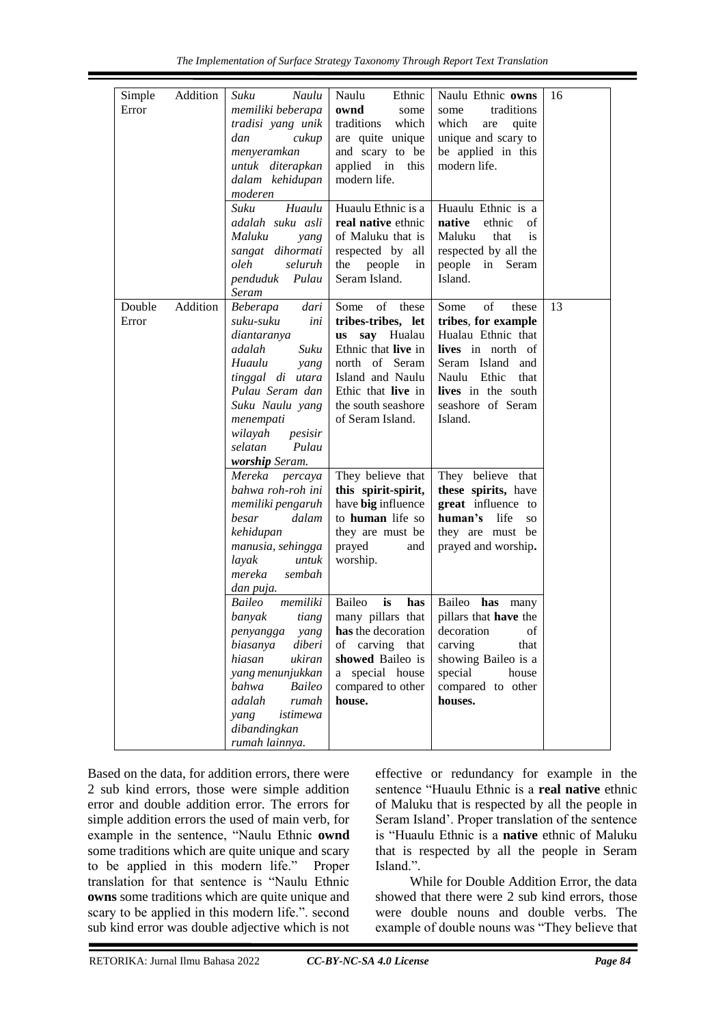| Simple<br>Error | Addition | Suku<br>Naulu<br>memiliki beberapa<br>tradisi yang unik<br>dan<br>cukup<br>menyeramkan<br>untuk diterapkan<br>dalam kehidupan<br>moderen<br>Suku<br>Huaulu                                                                  | Naulu<br>Ethnic<br>ownd<br>some<br>traditions<br>which<br>are quite unique<br>and scary to be<br>applied in<br>this<br>modern life.<br>Huaulu Ethnic is a                                      | Naulu Ethnic owns<br>traditions<br>some<br>which<br>quite<br>are<br>unique and scary to<br>be applied in this<br>modern life.                                                          | 16 |
|-----------------|----------|-----------------------------------------------------------------------------------------------------------------------------------------------------------------------------------------------------------------------------|------------------------------------------------------------------------------------------------------------------------------------------------------------------------------------------------|----------------------------------------------------------------------------------------------------------------------------------------------------------------------------------------|----|
|                 |          | adalah suku asli<br>Maluku<br>yang<br>sangat dihormati<br>seluruh<br>oleh<br>penduduk<br>Pulau<br>Seram                                                                                                                     | real native ethnic<br>of Maluku that is<br>respected by all<br>the<br>people<br>in<br>Seram Island.                                                                                            | Huaulu Ethnic is a<br>native<br>ethnic<br>of<br>Maluku<br>that<br><i>is</i><br>respected by all the<br>people in Seram<br>Island.                                                      |    |
| Double<br>Error | Addition | Beberapa<br>dari<br>suku-suku<br>ini<br>diantaranya<br>adalah<br>Suku<br>Huaulu<br>yang<br>tinggal di utara<br>Pulau Seram dan<br>Suku Naulu yang<br>menempati<br>wilayah<br>pesisir<br>selatan<br>Pulau<br>worship Seram.  | of these<br>Some<br>tribes-tribes, let<br>say Hualau<br><b>us</b><br>Ethnic that live in<br>north of Seram<br>Island and Naulu<br>Ethic that live in<br>the south seashore<br>of Seram Island. | of<br>Some<br>these<br>tribes, for example<br>Hualau Ethnic that<br>lives in north of<br>Seram Island and<br>Naulu Ethic<br>that<br>lives in the south<br>seashore of Seram<br>Island. | 13 |
|                 |          | Mereka<br>percaya<br>bahwa roh-roh ini<br>memiliki pengaruh<br>dalam<br>besar<br>kehidupan<br>manusia, sehingga<br>layak<br>untuk<br>mereka<br>sembah<br>dan puja.                                                          | They believe that<br>this spirit-spirit,<br>have big influence<br>to human life so<br>they are must be<br>prayed<br>and<br>worship.                                                            | They believe that<br>these spirits, have<br>great influence to<br>human's life<br>SO <sub>1</sub><br>they are must be<br>prayed and worship.                                           |    |
|                 |          | <b>Baileo</b><br>memiliki<br>banyak<br>tiang<br>penyangga<br>yang<br>diberi<br>biasanya<br>hiasan<br>ukiran<br>yang menunjukkan<br>bahwa<br>Baileo<br>adalah<br>rumah<br>istimewa<br>yang<br>dibandingkan<br>rumah lainnya. | Baileo<br>is<br>has<br>many pillars that<br>has the decoration<br>carving<br>of<br>that<br>showed Baileo is<br>special house<br>a<br>compared to other<br>house.                               | Baileo has many<br>pillars that have the<br>decoration<br>οf<br>carving<br>that<br>showing Baileo is a<br>special<br>house<br>compared to other<br>houses.                             |    |

Based on the data, for addition errors, there were 2 sub kind errors, those were simple addition error and double addition error. The errors for simple addition errors the used of main verb, for example in the sentence, "Naulu Ethnic **ownd** some traditions which are quite unique and scary to be applied in this modern life." Proper translation for that sentence is "Naulu Ethnic **owns** some traditions which are quite unique and scary to be applied in this modern life.". second sub kind error was double adjective which is not effective or redundancy for example in the sentence "Huaulu Ethnic is a **real native** ethnic of Maluku that is respected by all the people in Seram Island'. Proper translation of the sentence is "Huaulu Ethnic is a **native** ethnic of Maluku that is respected by all the people in Seram Island.".

While for Double Addition Error, the data showed that there were 2 sub kind errors, those were double nouns and double verbs. The example of double nouns was "They believe that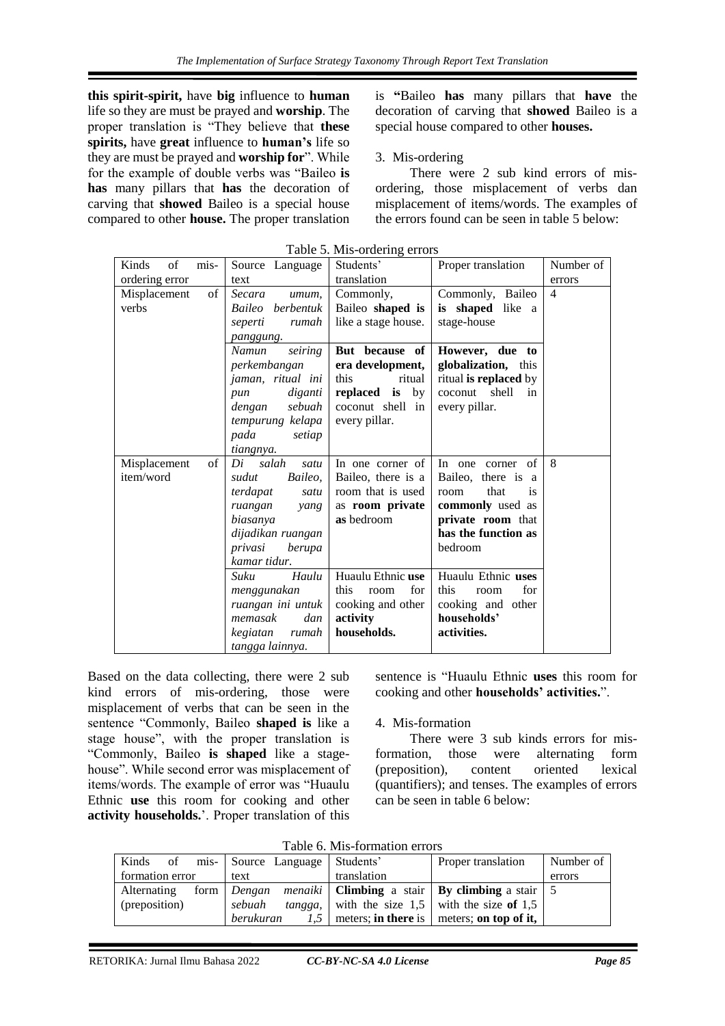**this spirit-spirit,** have **big** influence to **human** life so they are must be prayed and **worship**. The proper translation is "They believe that **these spirits,** have **great** influence to **human's** life so they are must be prayed and **worship for**". While for the example of double verbs was "Baileo **is has** many pillars that **has** the decoration of carving that **showed** Baileo is a special house compared to other **house.** The proper translation

is **"**Baileo **has** many pillars that **have** the decoration of carving that **showed** Baileo is a special house compared to other **houses.**

# 3. Mis-ordering

There were 2 sub kind errors of misordering, those misplacement of verbs dan misplacement of items/words. The examples of the errors found can be seen in table 5 below:

| of<br>mis-<br>Kinds<br>ordering error | Source Language<br>text                                                                                                                                                                 | Students'<br>translation                                                                                                                                            | Proper translation                                                                                                                                                | Number of<br>errors |
|---------------------------------------|-----------------------------------------------------------------------------------------------------------------------------------------------------------------------------------------|---------------------------------------------------------------------------------------------------------------------------------------------------------------------|-------------------------------------------------------------------------------------------------------------------------------------------------------------------|---------------------|
| of<br>Misplacement<br>verbs           | Secara<br>umum.<br>Baileo berbentuk<br>seperti<br>rumah<br>panggung.<br>seiring<br>Namun<br>perkembangan<br>jaman, ritual ini<br>diganti<br>pun<br>sebuah<br>dengan<br>tempurung kelapa | Commonly,<br>Baileo shaped is<br>like a stage house.<br>But because of<br>era development,<br>ritual<br>this<br>replaced is by<br>coconut shell in<br>every pillar. | Commonly, Baileo<br>is shaped like a<br>stage-house<br>However, due to<br>globalization, this<br>ritual is replaced by<br>coconut<br>shell<br>in<br>every pillar. | $\overline{4}$      |
|                                       | pada<br>setiap<br>tiangnya.                                                                                                                                                             |                                                                                                                                                                     |                                                                                                                                                                   |                     |
| of<br>Misplacement<br>item/word       | Di salah<br>satu<br>Baileo,<br>sudut<br>terdapat<br>satu<br>ruangan<br>yang<br>biasanya<br>dijadikan ruangan<br>privasi<br>berupa<br>kamar tidur.                                       | In one corner of<br>Baileo, there is a<br>room that is used<br>as room private<br>as bedroom                                                                        | of<br>In one corner<br>Baileo, there is a<br>that<br>room<br><i>is</i><br>commonly used as<br>private room that<br>has the function as<br>bedroom                 | 8                   |
|                                       | Suku<br>Haulu<br>menggunakan<br>ruangan ini untuk<br>memasak<br>dan<br>kegiatan<br>rumah<br>tangga lainnya.                                                                             | Huaulu Ethnic use<br>this<br>for<br>room<br>cooking and other<br>activity<br>households.                                                                            | Huaulu Ethnic uses<br>this<br>for<br>room<br>cooking and other<br>households'<br>activities.                                                                      |                     |

Table 5. Mis-ordering errors

Based on the data collecting, there were 2 sub kind errors of mis-ordering, those were misplacement of verbs that can be seen in the sentence "Commonly, Baileo **shaped is** like a stage house", with the proper translation is "Commonly, Baileo **is shaped** like a stagehouse". While second error was misplacement of items/words. The example of error was "Huaulu Ethnic **use** this room for cooking and other **activity households.**'. Proper translation of this

sentence is "Huaulu Ethnic **uses** this room for cooking and other **households' activities.**".

# 4. Mis-formation

There were 3 sub kinds errors for misformation, those were alternating form (preposition), content oriented lexical (quantifiers); and tenses. The examples of errors can be seen in table 6 below:

| Kinds<br>of     | mis- Source Language | Students'   | Proper translation                                          | Number of |
|-----------------|----------------------|-------------|-------------------------------------------------------------|-----------|
| formation error | text                 | translation |                                                             | errors    |
| Alternating     | form <i>Dengan</i>   |             | <i>menaiki</i>   Climbing a stair   By climbing a stair   5 |           |
| (preposition)   | sebuah<br>tangga,    |             | with the size $1.5$ with the size of 1.5                    |           |
|                 | berukuran            |             | $\vert$ meters; in there is $\vert$ meters; on top of it,   |           |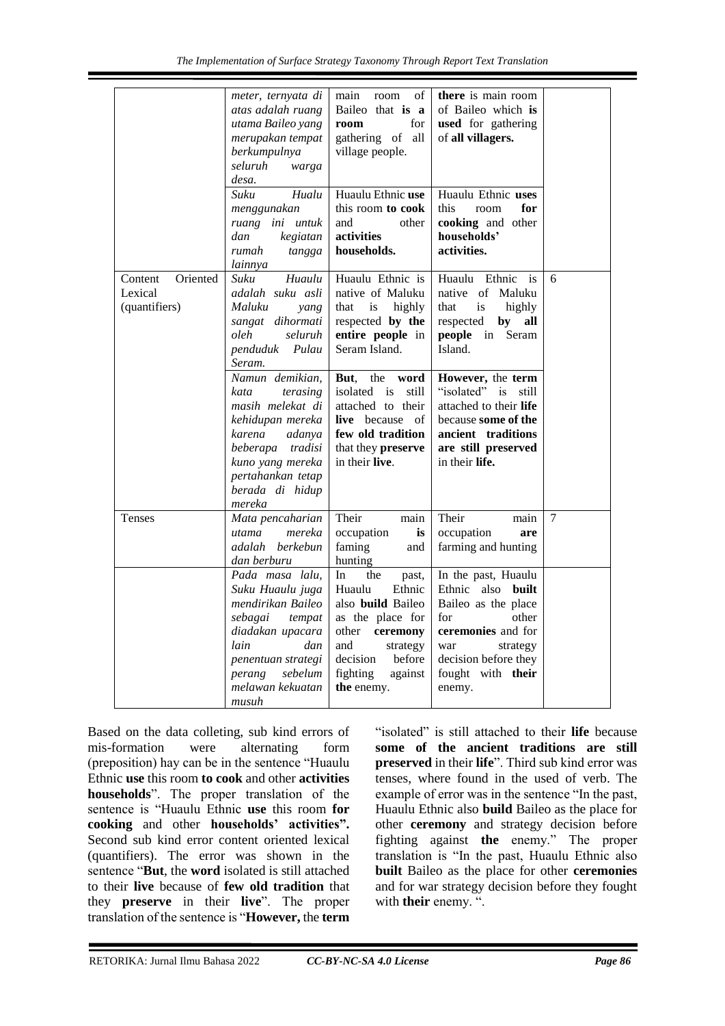|                                                 | meter, ternyata di<br>atas adalah ruang<br>utama Baileo yang<br>merupakan tempat<br>berkumpulnya<br>seluruh<br>warga<br>desa.                                                                                                                                                                                           | main<br>οf<br>room<br>Baileo that is a<br>for<br>room<br>gathering of all<br>village people.                                                                                                                                                                                     | there is main room<br>of Baileo which is<br>used for gathering<br>of all villagers.                                                                                                                                                                                                              |                |
|-------------------------------------------------|-------------------------------------------------------------------------------------------------------------------------------------------------------------------------------------------------------------------------------------------------------------------------------------------------------------------------|----------------------------------------------------------------------------------------------------------------------------------------------------------------------------------------------------------------------------------------------------------------------------------|--------------------------------------------------------------------------------------------------------------------------------------------------------------------------------------------------------------------------------------------------------------------------------------------------|----------------|
|                                                 | Suku<br>Hualu<br>menggunakan<br>ruang ini untuk<br>dan<br>kegiatan<br>rumah<br>tangga<br>lainnya                                                                                                                                                                                                                        | Huaulu Ethnic use<br>this room to cook<br>and<br>other<br>activities<br>households.                                                                                                                                                                                              | Huaulu Ethnic uses<br>this<br>room<br>for<br><b>cooking</b> and other<br>households'<br>activities.                                                                                                                                                                                              |                |
| Oriented<br>Content<br>Lexical<br>(quantifiers) | Huaulu<br>Suku<br>adalah suku asli<br>Maluku<br>yang<br>sangat dihormati<br>oleh<br>seluruh<br>penduduk<br>Pulau<br>Seram.<br>Namun demikian,<br>kata<br>terasing<br>masih melekat di<br>kehidupan mereka<br>karena<br>adanya<br>beberapa tradisi<br>kuno yang mereka<br>pertahankan tetap<br>berada di hidup<br>mereka | Huaulu Ethnic is<br>native of Maluku<br>that is<br>highly<br>respected by the<br>entire people in<br>Seram Island.<br>But,<br>the<br>word<br>isolated<br>is<br>still<br>attached to their<br><b>live</b> because of<br>few old tradition<br>that they preserve<br>in their live. | Huaulu Ethnic is<br>native of<br>Maluku<br>that<br>is<br>highly<br>respected<br>by<br>all<br><b>people</b> in<br>Seram<br>Island.<br>However, the term<br>"isolated" is<br>still<br>attached to their life<br>because some of the<br>ancient traditions<br>are still preserved<br>in their life. | 6              |
| Tenses                                          | Mata pencaharian<br>mereka<br>utama<br>adalah berkebun<br>dan berburu                                                                                                                                                                                                                                                   | Their<br>main<br>occupation<br>is<br>faming<br>and<br>hunting                                                                                                                                                                                                                    | Their<br>main<br>occupation<br>are<br>farming and hunting                                                                                                                                                                                                                                        | $\overline{7}$ |
|                                                 | Pada masa lalu,<br>Suku Huaulu juga<br>mendirikan Baileo<br>sebagai<br>tempat<br>diadakan upacara<br>lain<br>dan<br>penentuan strategi<br>sebelum<br>perang<br>melawan kekuatan<br>musuh                                                                                                                                | In<br>the<br>past,<br>Huaulu<br>Ethnic<br>also build Baileo<br>as the place for<br>other<br>ceremony<br>and<br>strategy<br>decision<br>before<br>fighting<br>against<br>the enemy.                                                                                               | In the past, Huaulu<br>Ethnic also built<br>Baileo as the place<br>for<br>other<br>ceremonies and for<br>strategy<br>war<br>decision before they<br>fought with their<br>enemy.                                                                                                                  |                |

Based on the data colleting, sub kind errors of mis-formation were alternating form (preposition) hay can be in the sentence "Huaulu Ethnic **use** this room **to cook** and other **activities households**". The proper translation of the sentence is "Huaulu Ethnic **use** this room **for cooking** and other **households' activities".** Second sub kind error content oriented lexical (quantifiers). The error was shown in the sentence "**But**, the **word** isolated is still attached to their **live** because of **few old tradition** that they **preserve** in their **live**". The proper translation of the sentence is "**However,** the **term**

"isolated" is still attached to their **life** because **some of the ancient traditions are still preserved** in their **life**". Third sub kind error was tenses, where found in the used of verb. The example of error was in the sentence "In the past, Huaulu Ethnic also **build** Baileo as the place for other **ceremony** and strategy decision before fighting against **the** enemy." The proper translation is "In the past, Huaulu Ethnic also **built** Baileo as the place for other **ceremonies** and for war strategy decision before they fought with **their** enemy. ".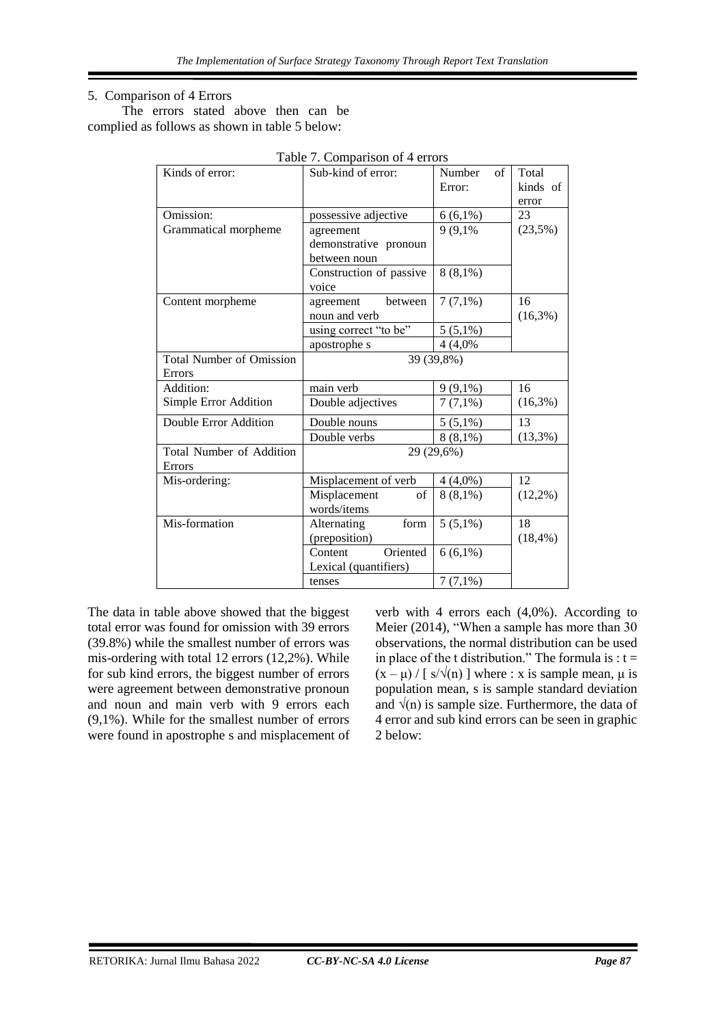#### 5. Comparison of 4 Errors

The errors stated above then can be complied as follows as shown in table 5 below:

| Kinds of error:                 | Sub-kind of error:                                                                                                 | Number<br>of | Total       |
|---------------------------------|--------------------------------------------------------------------------------------------------------------------|--------------|-------------|
|                                 |                                                                                                                    | Error:       | kinds of    |
|                                 |                                                                                                                    |              | error       |
| Omission:                       | possessive adjective                                                                                               | $6(6,1\%)$   | 23          |
| Grammatical morpheme            | agreement                                                                                                          | 9 (9,1%)     | (23,5%)     |
|                                 | demonstrative pronoun                                                                                              |              |             |
|                                 | between noun                                                                                                       |              |             |
|                                 | Construction of passive                                                                                            | $8(8,1\%)$   |             |
|                                 | voice                                                                                                              |              |             |
| Content morpheme                | agreement<br>between                                                                                               | $7(7,1\%)$   | 16          |
|                                 | noun and verb                                                                                                      |              | $(16,3\%)$  |
|                                 | using correct "to be"                                                                                              | $5(5,1\%)$   |             |
|                                 | apostrophe s                                                                                                       | 4 (4,0%)     |             |
| <b>Total Number of Omission</b> | 39 (39,8%)                                                                                                         |              |             |
| <b>Errors</b>                   |                                                                                                                    |              |             |
| Addition:                       | main verb                                                                                                          | $9(9,1\%)$   | 16          |
| Simple Error Addition           | Double adjectives                                                                                                  | $7(7,1\%)$   | $(16,3\%)$  |
| Double Error Addition           | Double nouns                                                                                                       | $5(5,1\%)$   | 13          |
|                                 | Double verbs                                                                                                       | $8(8,1\%)$   | (13,3%)     |
| <b>Total Number of Addition</b> | 29 (29,6%)                                                                                                         |              |             |
| <b>Errors</b>                   |                                                                                                                    |              |             |
| Mis-ordering:                   | Misplacement of verb                                                                                               | $4(4,0\%)$   | 12          |
|                                 | Misplacement<br>$% \left( \left( \mathcal{A},\mathcal{A}\right) \right) =\left( \mathcal{A},\mathcal{A}\right)$ of | $8(8,1\%)$   | $(12,2\%)$  |
|                                 | words/items                                                                                                        |              |             |
| Mis-formation                   | form<br>Alternating                                                                                                | $5(5,1\%)$   | 18          |
|                                 | (preposition)                                                                                                      |              | $(18, 4\%)$ |
|                                 | Content<br>Oriented                                                                                                | $6(6,1\%)$   |             |
|                                 | Lexical (quantifiers)                                                                                              |              |             |
|                                 | tenses                                                                                                             | $7(7,1\%)$   |             |
|                                 |                                                                                                                    |              |             |

The data in table above showed that the biggest total error was found for omission with 39 errors (39.8%) while the smallest number of errors was mis-ordering with total 12 errors (12,2%). While for sub kind errors, the biggest number of errors were agreement between demonstrative pronoun and noun and main verb with 9 errors each (9,1%). While for the smallest number of errors were found in apostrophe s and misplacement of verb with 4 errors each (4,0%). According to Meier (2014), "When a sample has more than 30 observations, the normal distribution can be used in place of the t distribution." The formula is :  $t =$  $(x - \mu) / [s/\sqrt{n}]$  where : x is sample mean,  $\mu$  is population mean, s is sample standard deviation and  $\sqrt{(n)}$  is sample size. Furthermore, the data of 4 error and sub kind errors can be seen in graphic 2 below: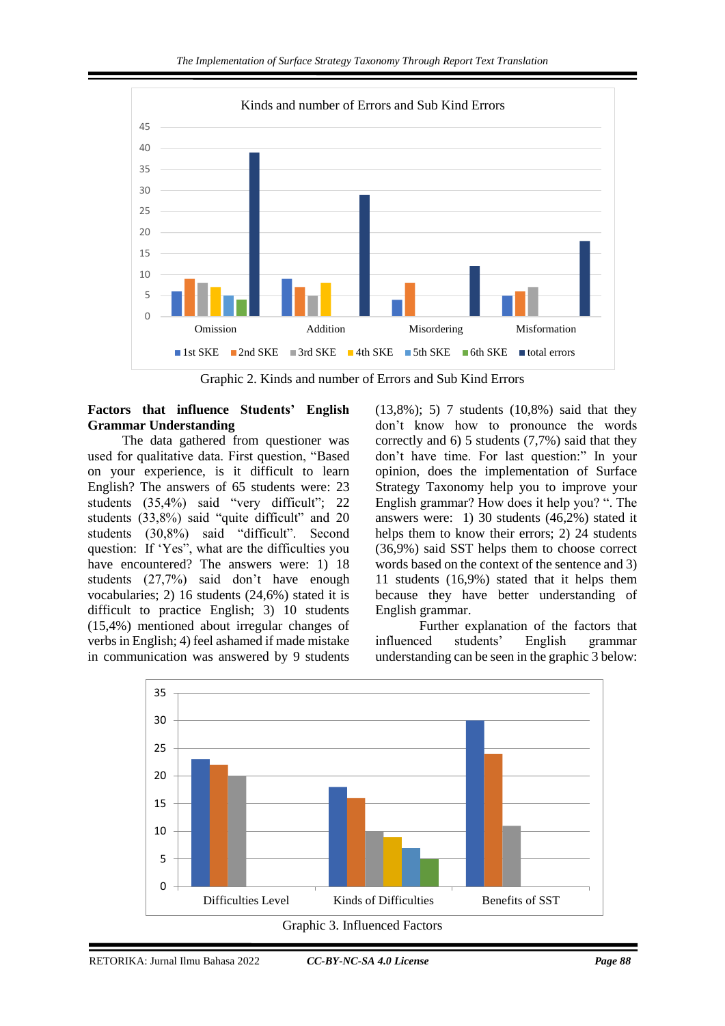

Graphic 2. Kinds and number of Errors and Sub Kind Errors

# **Factors that influence Students' English Grammar Understanding**

The data gathered from questioner was used for qualitative data. First question, "Based on your experience, is it difficult to learn English? The answers of 65 students were: 23 students (35,4%) said "very difficult"; 22 students (33,8%) said "quite difficult" and 20 students (30,8%) said "difficult". Second question: If 'Yes", what are the difficulties you have encountered? The answers were: 1) 18 students (27,7%) said don't have enough vocabularies; 2) 16 students (24,6%) stated it is difficult to practice English; 3) 10 students (15,4%) mentioned about irregular changes of verbs in English; 4) feel ashamed if made mistake in communication was answered by 9 students

(13,8%); 5) 7 students (10,8%) said that they don't know how to pronounce the words correctly and 6) 5 students (7,7%) said that they don't have time. For last question:" In your opinion, does the implementation of Surface Strategy Taxonomy help you to improve your English grammar? How does it help you? ". The answers were: 1) 30 students (46,2%) stated it helps them to know their errors; 2) 24 students (36,9%) said SST helps them to choose correct words based on the context of the sentence and 3) 11 students (16,9%) stated that it helps them because they have better understanding of English grammar.

Further explanation of the factors that influenced students' English grammar understanding can be seen in the graphic 3 below: